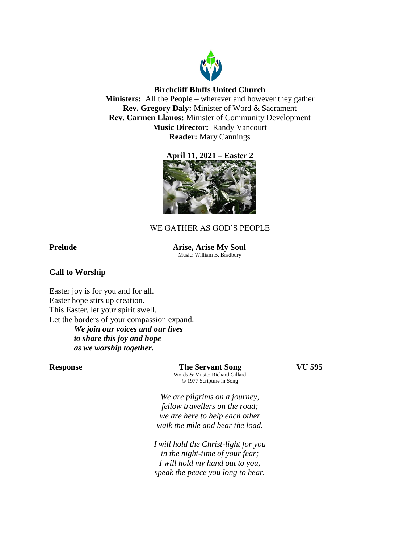

# **Birchcliff Bluffs United Church**

**Ministers:** All the People – wherever and however they gather **Rev. Gregory Daly:** Minister of Word & Sacrament **Rev. Carmen Llanos:** Minister of Community Development **Music Director:** Randy Vancourt **Reader:** Mary Cannings





# WE GATHER AS GOD'S PEOPLE

**Prelude Arise, Arise My Soul** Music: William B. Bradbury

## **Call to Worship**

Easter joy is for you and for all. Easter hope stirs up creation. This Easter, let your spirit swell. Let the borders of your compassion expand. *We join our voices and our lives to share this joy and hope as we worship together.*

**Response The Servant Song VU 595** Words & Music: Richard Gillard © 1977 Scripture in Song

*We are pilgrims on a journey, fellow travellers on the road; we are here to help each other walk the mile and bear the load.*

*I will hold the Christ-light for you in the night-time of your fear; I will hold my hand out to you, speak the peace you long to hear.*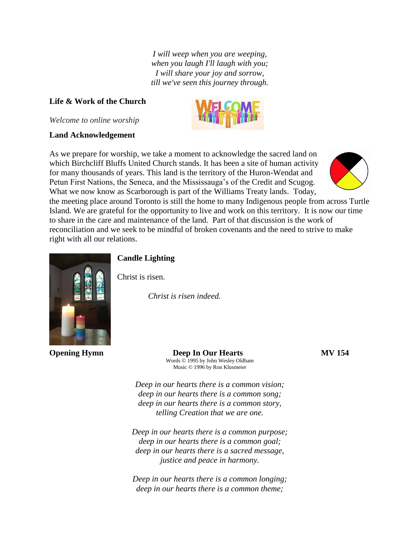*I will weep when you are weeping, when you laugh I'll laugh with you; I will share your joy and sorrow, till we've seen this journey through.*

## **Life & Work of the Church**

*Welcome to online worship*

#### **Land Acknowledgement**

As we prepare for worship, we take a moment to acknowledge the sacred land on which Birchcliff Bluffs United Church stands. It has been a site of human activity for many thousands of years. This land is the territory of the Huron-Wendat and Petun First Nations, the Seneca, and the Mississauga's of the Credit and Scugog. What we now know as Scarborough is part of the Williams Treaty lands. Today,



the meeting place around Toronto is still the home to many Indigenous people from across Turtle Island. We are grateful for the opportunity to live and work on this territory. It is now our time to share in the care and maintenance of the land. Part of that discussion is the work of reconciliation and we seek to be mindful of broken covenants and the need to strive to make right with all our relations.



# **Candle Lighting**

Christ is risen.

*Christ is risen indeed.* 

**Opening Hymn Deep In Our Hearts MV 154** Words © 1995 by John Wesley Oldham Music © 1996 by Ron Klusmeier

*Deep in our hearts there is a common vision; deep in our hearts there is a common song; deep in our hearts there is a common story, telling Creation that we are one.*

*Deep in our hearts there is a common purpose; deep in our hearts there is a common goal; deep in our hearts there is a sacred message, justice and peace in harmony.*

*Deep in our hearts there is a common longing; deep in our hearts there is a common theme;*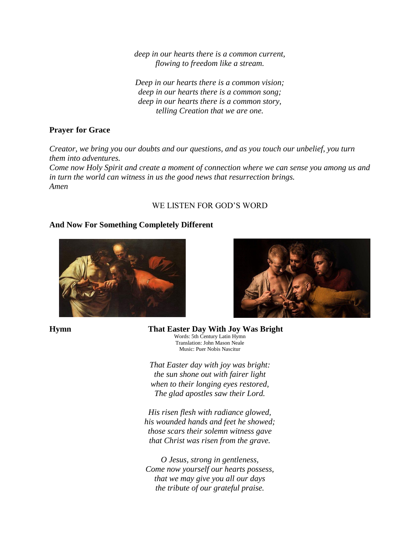*deep in our hearts there is a common current, flowing to freedom like a stream.*

*Deep in our hearts there is a common vision; deep in our hearts there is a common song; deep in our hearts there is a common story, telling Creation that we are one.*

# **Prayer for Grace**

*Creator, we bring you our doubts and our questions, and as you touch our unbelief, you turn them into adventures.* 

*Come now Holy Spirit and create a moment of connection where we can sense you among us and in turn the world can witness in us the good news that resurrection brings. Amen* 

# WE LISTEN FOR GOD'S WORD

# **And Now For Something Completely Different**







**Hymn That Easter Day With Joy Was Bright** Words: 5th Century Latin Hymn Translation: John Mason Neale

> *That Easter day with joy was bright: the sun shone out with fairer light when to their longing eyes restored, The glad apostles saw their Lord.*

Music: Puer Nobis Nascitur

*His risen flesh with radiance glowed, his wounded hands and feet he showed; those scars their solemn witness gave that Christ was risen from the grave.*

*O Jesus, strong in gentleness, Come now yourself our hearts possess, that we may give you all our days the tribute of our grateful praise.*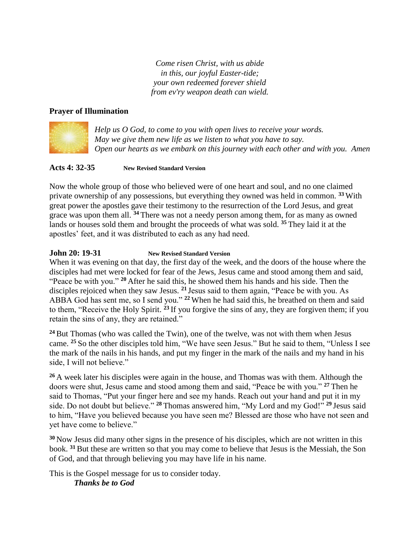*Come risen Christ, with us abide in this, our joyful Easter-tide; your own redeemed forever shield from ev'ry weapon death can wield.*

# **Prayer of Illumination**



*Help us O God, to come to you with open lives to receive your words. May we give them new life as we listen to what you have to say. Open our hearts as we embark on this journey with each other and with you. Amen*

## **Acts 4: 32-35 New Revised Standard Version**

Now the whole group of those who believed were of one heart and soul, and no one claimed private ownership of any possessions, but everything they owned was held in common. **<sup>33</sup>** With great power the apostles gave their testimony to the resurrection of the Lord Jesus, and great grace was upon them all. **<sup>34</sup>** There was not a needy person among them, for as many as owned lands or houses sold them and brought the proceeds of what was sold. **<sup>35</sup>** They laid it at the apostles' feet, and it was distributed to each as any had need.

# **John 20: 19-31 New Revised Standard Version**

When it was evening on that day, the first day of the week, and the doors of the house where the disciples had met were locked for fear of the Jews, Jesus came and stood among them and said, "Peace be with you." **<sup>20</sup>** After he said this, he showed them his hands and his side. Then the disciples rejoiced when they saw Jesus. **<sup>21</sup>** Jesus said to them again, "Peace be with you. As ABBA God has sent me, so I send you." **<sup>22</sup>** When he had said this, he breathed on them and said to them, "Receive the Holy Spirit. **<sup>23</sup>** If you forgive the sins of any, they are forgiven them; if you retain the sins of any, they are retained."

**<sup>24</sup>**But Thomas (who was called the Twin), one of the twelve, was not with them when Jesus came. **<sup>25</sup>** So the other disciples told him, "We have seen Jesus." But he said to them, "Unless I see the mark of the nails in his hands, and put my finger in the mark of the nails and my hand in his side, I will not believe."

**<sup>26</sup>** A week later his disciples were again in the house, and Thomas was with them. Although the doors were shut, Jesus came and stood among them and said, "Peace be with you." **<sup>27</sup>** Then he said to Thomas, "Put your finger here and see my hands. Reach out your hand and put it in my side. Do not doubt but believe." **<sup>28</sup>** Thomas answered him, "My Lord and my God!" **<sup>29</sup>** Jesus said to him, "Have you believed because you have seen me? Blessed are those who have not seen and yet have come to believe."

**<sup>30</sup>** Now Jesus did many other signs in the presence of his disciples, which are not written in this book. **<sup>31</sup>**But these are written so that you may come to believe that Jesus is the Messiah, the Son of God, and that through believing you may have life in his name.

This is the Gospel message for us to consider today. *Thanks be to God*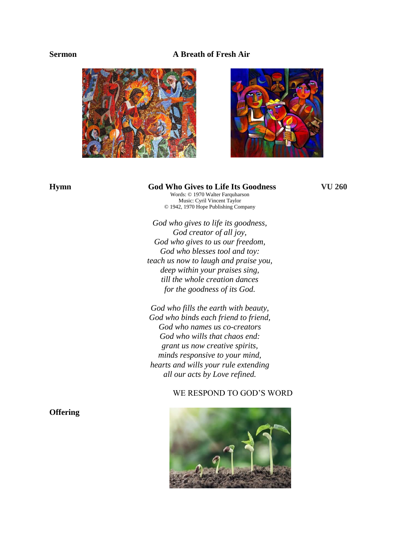### **Sermon A Breath of Fresh Air**





## **Hymn God Who Gives to Life Its Goodness VU 260**

Words: © 1970 Walter Farquharson Music: Cyril Vincent Taylor © 1942, 1970 Hope Publishing Company

*God who gives to life its goodness, God creator of all joy, God who gives to us our freedom, God who blesses tool and toy: teach us now to laugh and praise you, deep within your praises sing, till the whole creation dances for the goodness of its God.*

*God who fills the earth with beauty, God who binds each friend to friend, God who names us co-creators God who wills that chaos end: grant us now creative spirits, minds responsive to your mind, hearts and wills your rule extending all our acts by Love refined.*

### WE RESPOND TO GOD'S WORD



# **Offering**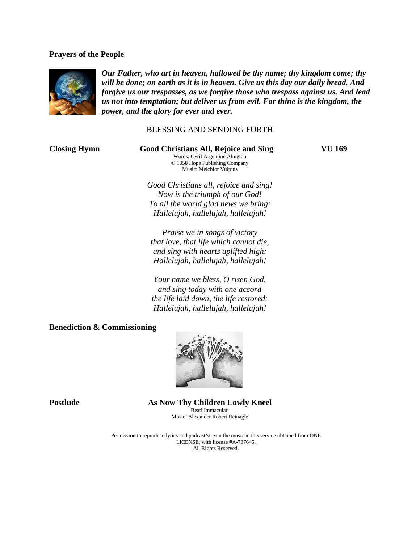#### **Prayers of the People**



*Our Father, who art in heaven, hallowed be thy name; thy kingdom come; thy will be done; on earth as it is in heaven. Give us this day our daily bread. And forgive us our trespasses, as we forgive those who trespass against us. And lead us not into temptation; but deliver us from evil. For thine is the kingdom, the power, and the glory for ever and ever.* 

### BLESSING AND SENDING FORTH

**Closing Hymn Good Christians All, Rejoice and Sing VU 169** Words: Cyril Argentine Alington © 1958 Hope Publishing Company Music: Melchior Vulpius

*Good Christians all, rejoice and sing! Now is the triumph of our God! To all the world glad news we bring: Hallelujah, hallelujah, hallelujah!*

*Praise we in songs of victory that love, that life which cannot die, and sing with hearts uplifted high: Hallelujah, hallelujah, hallelujah!*

*Your name we bless, O risen God, and sing today with one accord the life laid down, the life restored: Hallelujah, hallelujah, hallelujah!*

#### **Benediction & Commissioning**



**Postlude As Now Thy Children Lowly Kneel** Beati Immaculati Music: Alexander Robert Reinagle

> Permission to reproduce lyrics and podcast/stream the music in this service obtained from ONE LICENSE, with license #A-737645. All Rights Reserved.